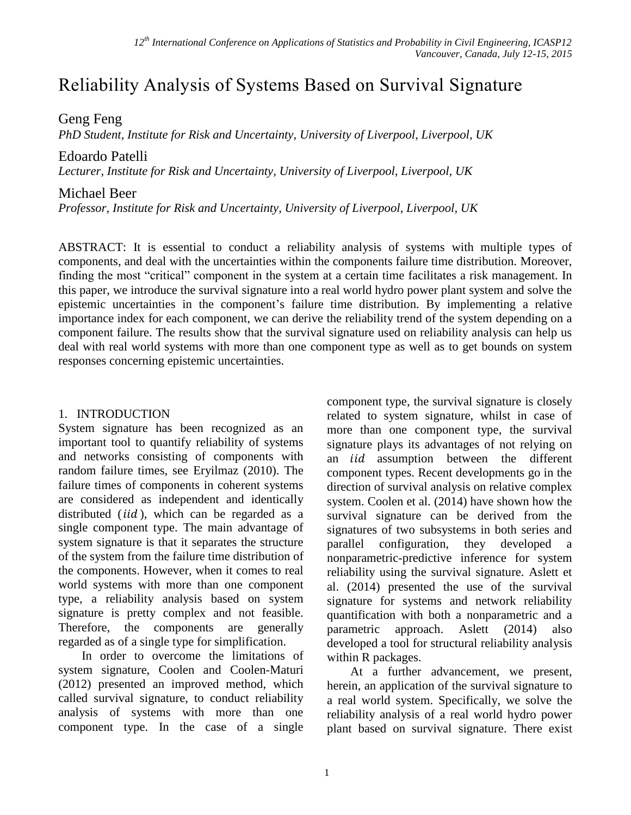# Reliability Analysis of Systems Based on Survival Signature

Geng Feng

*PhD Student, Institute for Risk and Uncertainty, University of Liverpool, Liverpool, UK*

Edoardo Patelli

*Lecturer, Institute for Risk and Uncertainty, University of Liverpool, Liverpool, UK*

# Michael Beer

*Professor, Institute for Risk and Uncertainty, University of Liverpool, Liverpool, UK*

ABSTRACT: It is essential to conduct a reliability analysis of systems with multiple types of components, and deal with the uncertainties within the components failure time distribution. Moreover, finding the most "critical" component in the system at a certain time facilitates a risk management. In this paper, we introduce the survival signature into a real world hydro power plant system and solve the epistemic uncertainties in the component's failure time distribution. By implementing a relative importance index for each component, we can derive the reliability trend of the system depending on a component failure. The results show that the survival signature used on reliability analysis can help us deal with real world systems with more than one component type as well as to get bounds on system responses concerning epistemic uncertainties.

# 1. INTRODUCTION

System signature has been recognized as an important tool to quantify reliability of systems and networks consisting of components with random failure times, see Eryilmaz (2010). The failure times of components in coherent systems are considered as independent and identically distributed  $(id)$ , which can be regarded as a single component type. The main advantage of system signature is that it separates the structure of the system from the failure time distribution of the components. However, when it comes to real world systems with more than one component type, a reliability analysis based on system signature is pretty complex and not feasible. Therefore, the components are generally regarded as of a single type for simplification.

In order to overcome the limitations of system signature, Coolen and Coolen-Maturi (2012) presented an improved method, which called survival signature, to conduct reliability analysis of systems with more than one component type. In the case of a single component type, the survival signature is closely related to system signature, whilst in case of more than one component type, the survival signature plays its advantages of not relying on an *iid* assumption between the different component types. Recent developments go in the direction of survival analysis on relative complex system. Coolen et al. (2014) have shown how the survival signature can be derived from the signatures of two subsystems in both series and parallel configuration, they developed a nonparametric-predictive inference for system reliability using the survival signature. Aslett et al. (2014) presented the use of the survival signature for systems and network reliability quantification with both a nonparametric and a parametric approach. Aslett (2014) also developed a tool for structural reliability analysis within R packages.

At a further advancement, we present, herein, an application of the survival signature to a real world system. Specifically, we solve the reliability analysis of a real world hydro power plant based on survival signature. There exist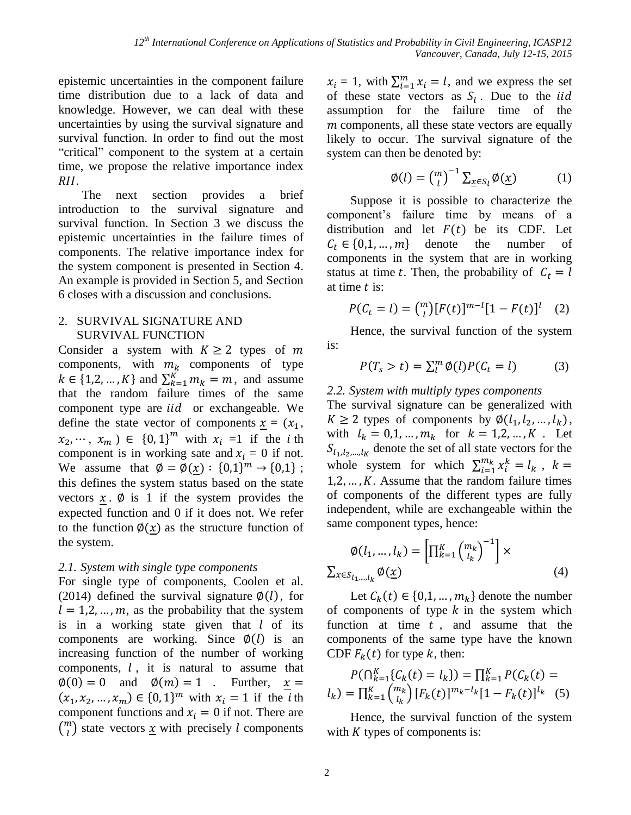epistemic uncertainties in the component failure time distribution due to a lack of data and knowledge. However, we can deal with these uncertainties by using the survival signature and survival function. In order to find out the most "critical" component to the system at a certain time, we propose the relative importance index RII.

The next section provides a brief introduction to the survival signature and survival function. In Section 3 we discuss the epistemic uncertainties in the failure times of components. The relative importance index for the system component is presented in Section 4. An example is provided in Section 5, and Section 6 closes with a discussion and conclusions.

#### 2. SURVIVAL SIGNATURE AND SURVIVAL FUNCTION

Consider a system with  $K \ge 2$  types of m components, with  $m_k$  components of type  $k \in \{1, 2, ..., K\}$  and  $\sum_{k=1}^{K} m_k = m$ , and assume that the random failure times of the same component type are *iid* or exchangeable. We define the state vector of components  $x = (x_1,$  $x_2, \dots, x_m$ )  $\in$  {0, 1}<sup>*m*</sup> with  $x_i = 1$  if the *i* th component is in working sate and  $x_i = 0$  if not. We assume that  $\phi = \phi(x) : \{0,1\}^m \to \{0,1\}$ ; this defines the system status based on the state vectors  $x \cdot \emptyset$  is 1 if the system provides the expected function and 0 if it does not. We refer to the function  $\phi(x)$  as the structure function of the system.

# *2.1. System with single type components*

For single type of components, Coolen et al. (2014) defined the survival signature  $\varphi(l)$ , for  $l = 1, 2, ..., m$ , as the probability that the system is in a working state given that  $l$  of its components are working. Since  $\phi(l)$  is an increasing function of the number of working components,  $l$ , it is natural to assume that  $\emptyset(0) = 0$  and  $\emptyset(m) = 1$ . Further,  $x =$  $(x_1, x_2, ..., x_m) \in \{0, 1\}^m$  with  $x_i = 1$  if the *i*th component functions and  $x_i = 0$  if not. There are  $\binom{m}{l}$  $\binom{n}{l}$  state vectors <u>x</u> with precisely *l* components

 $x_i = 1$ , with  $\sum_{i=1}^{m} x_i = l$ , and we express the set of these state vectors as  $S_l$ . Due to the *iid* assumption for the failure time of the  $$ likely to occur. The survival signature of the system can then be denoted by:

$$
\emptyset(l) = \binom{m}{l}^{-1} \sum_{\underline{x} \in S_l} \emptyset(\underline{x}) \tag{1}
$$

Suppose it is possible to characterize the component's failure time by means of a distribution and let  $F(t)$  be its CDF. Let  $C_t \in \{0,1,\dots,m\}$  denote the number of components in the system that are in working status at time t. Then, the probability of  $C_t = l$ at time  $t$  is:

$$
P(C_t = l) = \binom{m}{l} [F(t)]^{m-l} [1 - F(t)]^l \quad (2)
$$

Hence, the survival function of the system is:

$$
P(T_s > t) = \sum_{l}^{m} \phi(l) P(C_t = l)
$$
 (3)

# *2.2. System with multiply types components*

The survival signature can be generalized with  $K \geq 2$  types of components by  $\phi(l_1, l_2, ..., l_k)$ , with  $l_k = 0, 1, ..., m_k$  for  $k = 1, 2, ..., K$ . Let  $S_{l_1,l_2,\dots,l_K}$  denote the set of all state vectors for the whole system for which  $\sum_{i=1}^{m_k} x_i^k = l_k$ ,  $k =$  $1, 2, \ldots, K$ . Assume that the random failure times of components of the different types are fully independent, while are exchangeable within the same component types, hence:

$$
\emptyset(l_1, \dots, l_k) = \left[\prod_{k=1}^K {m_k \choose l_k}^{-1}\right] \times \sum_{\underline{x} \in S_{l_1, \dots, l_k}} \emptyset(\underline{x})
$$
\n(4)

Let  $C_k(t) \in \{0,1,\ldots,m_k\}$  denote the number of components of type  $k$  in the system which function at time  $t$ , and assume that the components of the same type have the known CDF  $F_k(t)$  for type k, then:

$$
P(\bigcap_{k=1}^{K} \{C_k(t) = l_k\}) = \prod_{k=1}^{K} P(C_k(t) = l_k) = \prod_{k=1}^{K} {m_k \choose l_k} [F_k(t)]^{m_k - l_k} [1 - F_k(t)]^{l_k}
$$
(5)

Hence, the survival function of the system with  $K$  types of components is: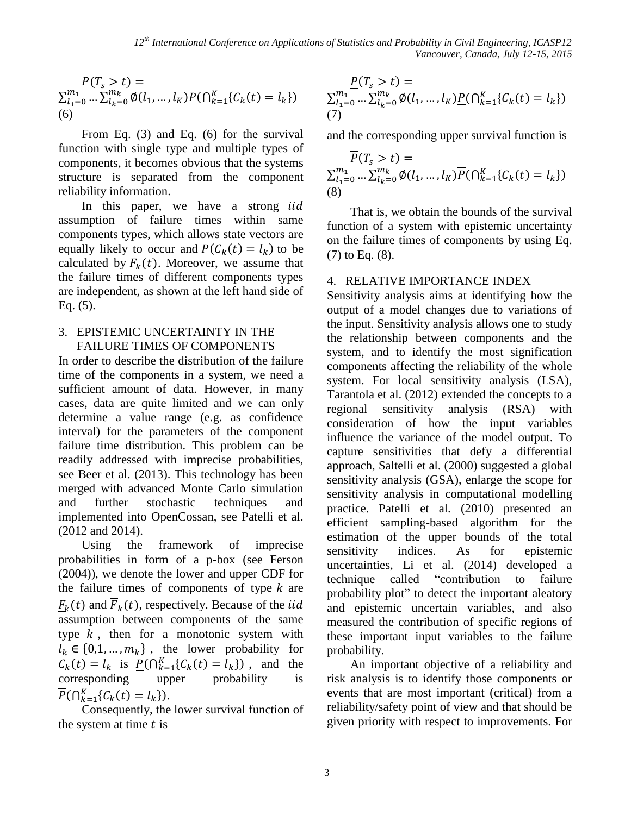$$
P(T_s > t) =
$$
  
\n
$$
\sum_{l_1=0}^{m_1} \dots \sum_{l_k=0}^{m_k} \emptyset(l_1, \dots, l_k) P(\bigcap_{k=1}^K \{C_k(t) = l_k\})
$$
  
\n(6)

From Eq. (3) and Eq. (6) for the survival function with single type and multiple types of components, it becomes obvious that the systems structure is separated from the component reliability information.

In this paper, we have a strong iid assumption of failure times within same components types, which allows state vectors are equally likely to occur and  $P(C_k(t) = l_k)$  to be calculated by  $F_k(t)$ . Moreover, we assume that the failure times of different components types are independent, as shown at the left hand side of Eq. (5).

# 3. EPISTEMIC UNCERTAINTY IN THE FAILURE TIMES OF COMPONENTS

In order to describe the distribution of the failure time of the components in a system, we need a sufficient amount of data. However, in many cases, data are quite limited and we can only determine a value range (e.g. as confidence interval) for the parameters of the component failure time distribution. This problem can be readily addressed with imprecise probabilities, see Beer et al. (2013). This technology has been merged with advanced Monte Carlo simulation and further stochastic techniques and implemented into OpenCossan, see Patelli et al. (2012 and 2014).

Using the framework of imprecise probabilities in form of a p-box (see Ferson (2004)), we denote the lower and upper CDF for the failure times of components of type  $k$  are  $F_k(t)$  and  $\overline{F}_k(t)$ , respectively. Because of the *iid*  $\frac{1}{2}$  assumption between components of the same type  $k$ , then for a monotonic system with  $l_k \in \{0, 1, ..., m_k\}$ , the lower probability for  $C_k(t) = l_k$  is  $\underline{P}(\bigcap_{k=1}^K \{C_k(t) = l_k\})$ , and the corresponding upper probability is  $\overline{P}(\bigcap_{k=1}^{K} \{C_k(t) = l_k\}).$ 

Consequently, the lower survival function of the system at time  $t$  is

$$
\underline{P}(T_s > t) = \sum_{l_1=0}^{m_1} \dots \sum_{l_k=0}^{m_k} \emptyset(l_1, \dots, l_k) \underline{P}(\bigcap_{k=1}^K \{C_k(t) = l_k\})
$$
  
(7)

and the corresponding upper survival function is

$$
\overline{P}(T_s > t) = \sum_{l_1=0}^{m_1} \dots \sum_{l_k=0}^{m_k} \emptyset(l_1, \dots, l_k) \overline{P}(\bigcap_{k=1}^K \{C_k(t) = l_k\})
$$
\n(8)

That is, we obtain the bounds of the survival function of a system with epistemic uncertainty on the failure times of components by using Eq. (7) to Eq. (8).

#### 4. RELATIVE IMPORTANCE INDEX

Sensitivity analysis aims at identifying how the output of a model changes due to variations of the input. Sensitivity analysis allows one to study the relationship between components and the system, and to identify the most signification components affecting the reliability of the whole system. For local sensitivity analysis (LSA), Tarantola et al. (2012) extended the concepts to a regional sensitivity analysis (RSA) with consideration of how the input variables influence the variance of the model output. To capture sensitivities that defy a differential approach, Saltelli et al. (2000) suggested a global sensitivity analysis (GSA), enlarge the scope for sensitivity analysis in computational modelling practice. Patelli et al. (2010) presented an efficient sampling-based algorithm for the estimation of the upper bounds of the total sensitivity indices. As for epistemic uncertainties, Li et al. (2014) developed a technique called "contribution to failure probability plot" to detect the important aleatory and epistemic uncertain variables, and also measured the contribution of specific regions of these important input variables to the failure probability.

An important objective of a reliability and risk analysis is to identify those components or events that are most important (critical) from a reliability/safety point of view and that should be given priority with respect to improvements. For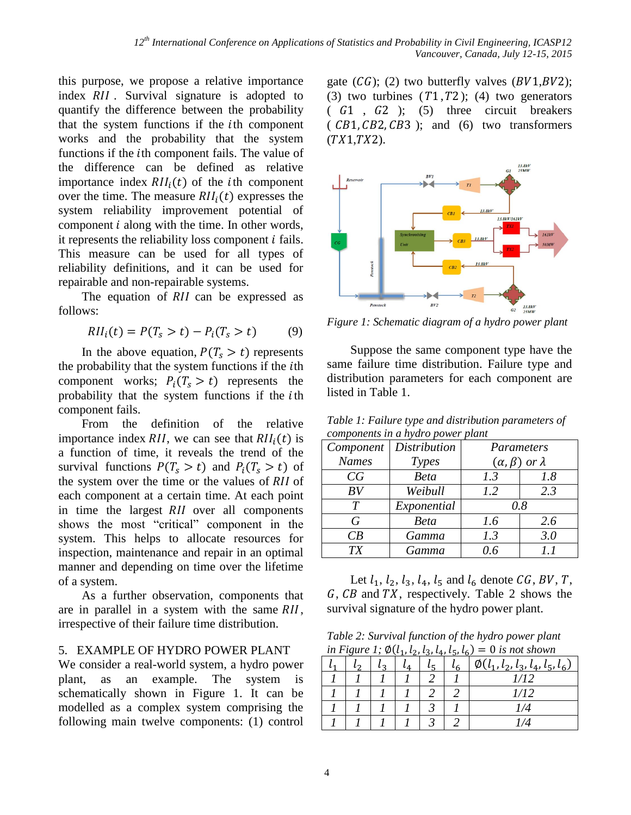this purpose, we propose a relative importance index RII. Survival signature is adopted to quantify the difference between the probability that the system functions if the *i*th component works and the probability that the system functions if the *i*th component fails. The value of the difference can be defined as relative importance index  $RII_i(t)$  of the *i*th component over the time. The measure  $RII_i(t)$  expresses the system reliability improvement potential of component  $i$  along with the time. In other words, it represents the reliability loss component  $i$  fails. This measure can be used for all types of reliability definitions, and it can be used for repairable and non-repairable systems.

The equation of  $RII$  can be expressed as follows:

$$
RII_i(t) = P(T_s > t) - P_i(T_s > t)
$$
 (9)

In the above equation,  $P(T_s > t)$  represents the probability that the system functions if the *i*th component works;  $P_i(T_s > t)$  represents the probability that the system functions if the *i*th component fails.

From the definition of the relative importance index RII, we can see that  $RII_i(t)$  is a function of time, it reveals the trend of the survival functions  $P(T_s > t)$  and  $P_i(T_s > t)$  of the system over the time or the values of  $RII$  of each component at a certain time. At each point in time the largest RII over all components shows the most "critical" component in the system. This helps to allocate resources for inspection, maintenance and repair in an optimal manner and depending on time over the lifetime of a system.

As a further observation, components that are in parallel in a system with the same  $RII$ , irrespective of their failure time distribution.

#### 5. EXAMPLE OF HYDRO POWER PLANT

We consider a real-world system, a hydro power plant, as an example. The system is schematically shown in Figure 1. It can be modelled as a complex system comprising the following main twelve components: (1) control

gate  $(CG)$ ; (2) two butterfly valves  $(BV1, BV2)$ ; (3) two turbines  $(T1, T2)$ ; (4) two generators  $(61, 62)$ ; (5) three circuit breakers  $(CB1, CB2, CB3)$ ; and  $(6)$  two transformers  $(TX1, TX2)$ .



*Figure 1: Schematic diagram of a hydro power plant*

Suppose the same component type have the same failure time distribution. Failure type and distribution parameters for each component are listed in Table 1.

*Table 1: Failure type and distribution parameters of components in a hydro power plant*

| components in a nyaro power piant |                     |                                |     |  |  |  |  |
|-----------------------------------|---------------------|--------------------------------|-----|--|--|--|--|
| Component                         | <b>Distribution</b> | Parameters                     |     |  |  |  |  |
| <b>Names</b>                      | Types               | $(\alpha, \beta)$ or $\lambda$ |     |  |  |  |  |
| CG                                | <b>Beta</b>         | 1.3                            | 1.8 |  |  |  |  |
| BV                                | Weibull             | 1.2                            | 2.3 |  |  |  |  |
| T                                 | Exponential         | 0.8                            |     |  |  |  |  |
| G                                 | <b>Beta</b>         | 1.6                            | 2.6 |  |  |  |  |
| CB                                | Gamma               | 1.3                            | 3.0 |  |  |  |  |
| <b>TX</b>                         | Gamma               | 0.6                            | 1.1 |  |  |  |  |

Let  $l_1, l_2, l_3, l_4, l_5$  and  $l_6$  denote CG, BV, T,  $G, CB$  and  $TX$ , respectively. Table 2 shows the survival signature of the hydro power plant.

*Table 2: Survival function of the hydro power plant in Figure 1;*  $\Phi(l_1, l_2, l_3, l_4, l_5, l_6) = 0$  *is not shown* 

|  |  |  | $\emptyset$ ( $l_1$ , $l_2$ , $l_3$ , $l_4$ , $l_5$ , $l_6$ ) |
|--|--|--|---------------------------------------------------------------|
|  |  |  | 1/12                                                          |
|  |  |  | 1/12                                                          |
|  |  |  | 1/4                                                           |
|  |  |  | 174                                                           |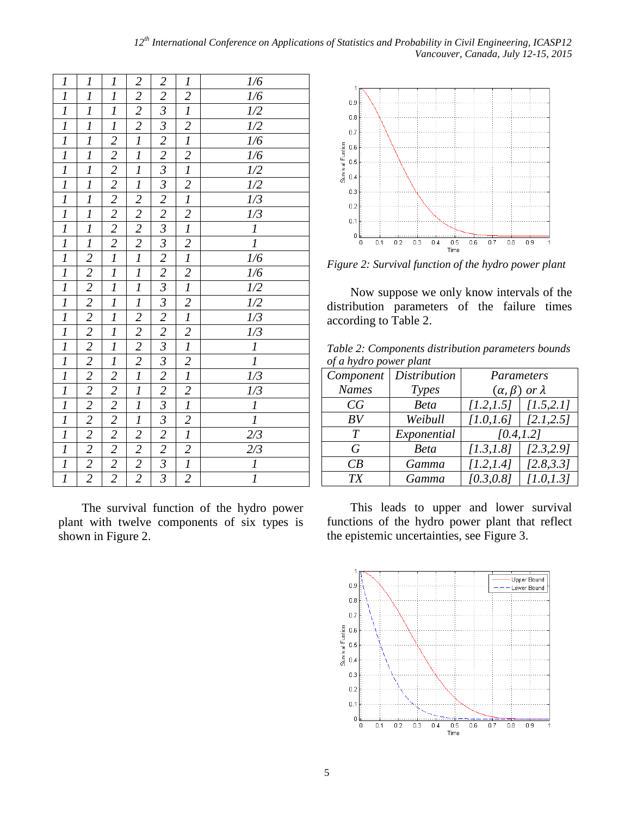| $\boldsymbol{l}$          | $\boldsymbol{l}$                                                                                                              | $\boldsymbol{l}$                                                                                  | $\overline{c}$                            | $\overline{c}$                                                                                                                                                          | $\boldsymbol{l}$ | 1/6                                                                                                                                         |
|---------------------------|-------------------------------------------------------------------------------------------------------------------------------|---------------------------------------------------------------------------------------------------|-------------------------------------------|-------------------------------------------------------------------------------------------------------------------------------------------------------------------------|------------------|---------------------------------------------------------------------------------------------------------------------------------------------|
| $\overline{l}$            | $\overline{\mathfrak{l}}$                                                                                                     | $\overline{l}$                                                                                    | $\overline{c}$                            | $\overline{2}$                                                                                                                                                          |                  |                                                                                                                                             |
| $\overline{l}$            | $\overline{l}$                                                                                                                | $\overline{l}$                                                                                    |                                           | $\overline{\mathfrak{z}}$                                                                                                                                               | $rac{2}{l}$      |                                                                                                                                             |
|                           |                                                                                                                               |                                                                                                   | $\frac{2}{2}$                             |                                                                                                                                                                         |                  |                                                                                                                                             |
| $\frac{1}{I}$             | $rac{1}{l}$                                                                                                                   |                                                                                                   |                                           |                                                                                                                                                                         | $rac{2}{l}$      |                                                                                                                                             |
| $\overline{l}$            | $\overline{l}$                                                                                                                | $\frac{1}{2}$ $\frac{2}{2}$ $\frac{2}{2}$ $\frac{2}{2}$ $\frac{2}{2}$ $\frac{2}{2}$ $\frac{2}{1}$ | $\overline{l}$                            |                                                                                                                                                                         | $\frac{2}{l}$    | $\frac{1}{6}$ $\frac{1}{2}$ $\frac{1}{2}$ $\frac{1}{6}$ $\frac{1}{6}$ $\frac{1}{2}$ $\frac{1}{2}$ $\frac{1}{2}$ $\frac{1}{2}$ $\frac{1}{1}$ |
| $\overline{l}$            | $\overline{l}$                                                                                                                |                                                                                                   | $\overline{l}$                            |                                                                                                                                                                         |                  |                                                                                                                                             |
| $\overline{l}$            | $\overline{l}$                                                                                                                |                                                                                                   | $\overline{l}$                            |                                                                                                                                                                         | $rac{2}{l}$      |                                                                                                                                             |
| $\frac{1}{I}$             | $\frac{l}{l}$                                                                                                                 |                                                                                                   | $\frac{2}{2}$ $\frac{2}{2}$ $\frac{2}{l}$ |                                                                                                                                                                         |                  |                                                                                                                                             |
|                           |                                                                                                                               |                                                                                                   |                                           |                                                                                                                                                                         | $\frac{2}{l}$    |                                                                                                                                             |
| $\overline{l}$            |                                                                                                                               |                                                                                                   |                                           |                                                                                                                                                                         |                  |                                                                                                                                             |
| $\frac{1}{I}$             |                                                                                                                               |                                                                                                   |                                           |                                                                                                                                                                         | $rac{2}{l}$      |                                                                                                                                             |
|                           |                                                                                                                               |                                                                                                   |                                           |                                                                                                                                                                         |                  |                                                                                                                                             |
| $\overline{l}$            |                                                                                                                               | $\overline{l}$                                                                                    | $\overline{l}$                            |                                                                                                                                                                         | $\frac{2}{l}$    |                                                                                                                                             |
| $\overline{l}$            |                                                                                                                               | $\overline{l}$                                                                                    | $\overline{l}$                            |                                                                                                                                                                         |                  | $\frac{1}{6}$<br>$\frac{1}{2}$<br>$\frac{1}{3}$<br>$\frac{1}{3}$<br>$\frac{1}{3}$<br>$\frac{1}{1}$                                          |
| $\overline{l}$            |                                                                                                                               | $\overline{l}$                                                                                    | $\overline{l}$                            |                                                                                                                                                                         | $\frac{2}{I}$    |                                                                                                                                             |
| $\frac{1}{I}$             |                                                                                                                               | $\frac{l}{l}$                                                                                     | $rac{2}{2}$                               |                                                                                                                                                                         |                  |                                                                                                                                             |
|                           |                                                                                                                               |                                                                                                   |                                           |                                                                                                                                                                         | $\overline{2}$   |                                                                                                                                             |
| $\overline{l}$            |                                                                                                                               | $\overline{l}$                                                                                    | $\overline{2}$                            |                                                                                                                                                                         | $\overline{l}$   |                                                                                                                                             |
| $rac{1}{l}$               |                                                                                                                               |                                                                                                   | $\frac{2}{l}$                             |                                                                                                                                                                         | $rac{2}{l}$      | $\frac{1}{1/3}$                                                                                                                             |
|                           |                                                                                                                               |                                                                                                   |                                           |                                                                                                                                                                         |                  |                                                                                                                                             |
| $\overline{l}$            | $\frac{1}{2}$ $\frac{2}{2}$ $\frac{2}{2}$ $\frac{2}{2}$ $\frac{2}{2}$ $\frac{2}{2}$ $\frac{2}{2}$ $\frac{2}{2}$ $\frac{2}{2}$ | $\frac{1}{2}$ $\frac{2}{2}$ $\frac{2}{2}$                                                         | $\overline{l}$                            | $\frac{3}{2}$ $\frac{2}{2}$ $\frac{2}{3}$ $\frac{3}{2}$ $\frac{2}{3}$ $\frac{2}{3}$ $\frac{2}{3}$ $\frac{2}{2}$ $\frac{2}{3}$ $\frac{2}{3}$ $\frac{2}{2}$ $\frac{2}{3}$ | $rac{2}{l}$      | $\frac{1}{3}$ $\frac{1}{1}$                                                                                                                 |
| $\overline{l}$            |                                                                                                                               |                                                                                                   | $\frac{1}{I}$                             |                                                                                                                                                                         |                  |                                                                                                                                             |
| $\overline{l}$            |                                                                                                                               |                                                                                                   |                                           |                                                                                                                                                                         | $\frac{2}{I}$    |                                                                                                                                             |
| $\overline{l}$            |                                                                                                                               |                                                                                                   | $\overline{2}$                            |                                                                                                                                                                         |                  | $\frac{2/3}{2/3}$ $\frac{l}{l}$                                                                                                             |
| $\overline{\mathfrak{1}}$ |                                                                                                                               | $\overline{c}$                                                                                    | $\overline{c}$                            |                                                                                                                                                                         | $\overline{2}$   |                                                                                                                                             |
| $\overline{l}$            |                                                                                                                               | $\overline{2}$                                                                                    | $\overline{c}$                            |                                                                                                                                                                         | $\overline{l}$   |                                                                                                                                             |
| $\overline{l}$            | $\overline{2}$                                                                                                                | $\overline{2}$                                                                                    | $\overline{2}$                            | $\overline{\mathfrak{z}}$                                                                                                                                               | $\overline{2}$   |                                                                                                                                             |

The survival function of the hydro power plant with twelve components of six types is shown in Figure 2.



*Figure 2: Survival function of the hydro power plant*

Now suppose we only know intervals of the distribution parameters of the failure times according to Table 2.

*Table 2: Components distribution parameters bounds of a hydro power plant*

| Component    | Distribution | Parameters                     |            |  |
|--------------|--------------|--------------------------------|------------|--|
| <b>Names</b> | Types        | $(\alpha, \beta)$ or $\lambda$ |            |  |
| CG           | <b>Beta</b>  | $[1.2, 1.5]$ $[1.5, 2.1]$      |            |  |
| BV           | Weibull      | $[1.0, 1.6]$ $[2.1, 2.5]$      |            |  |
| T            | Exponential  | [0.4, 1.2]                     |            |  |
| G            | <b>Beta</b>  | [1.3, 1.8]                     | [2.3, 2.9] |  |
| CR           | Gamma        | [1.2, 1.4]                     | [2.8, 3.3] |  |
| Gamma<br>TX  |              | [0.3, 0.8]                     | [1.0, 1.3] |  |

This leads to upper and lower survival functions of the hydro power plant that reflect the epistemic uncertainties, see Figure 3.

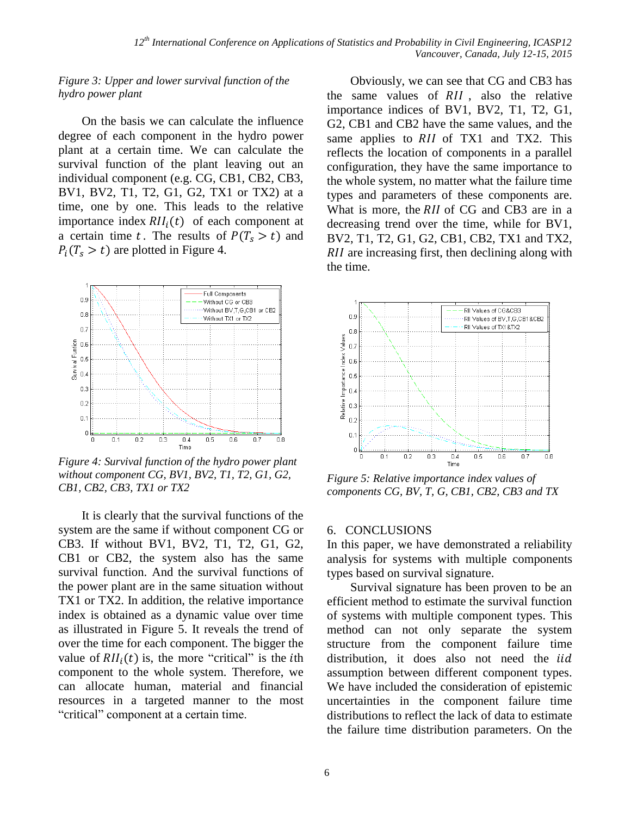#### *Figure 3: Upper and lower survival function of the hydro power plant*

On the basis we can calculate the influence degree of each component in the hydro power plant at a certain time. We can calculate the survival function of the plant leaving out an individual component (e.g. CG, CB1, CB2, CB3, BV1, BV2, T1, T2, G1, G2, TX1 or TX2) at a time, one by one. This leads to the relative importance index  $RII_i(t)$  of each component at a certain time t. The results of  $P(T_s > t)$  and  $P_i(T_s > t)$  are plotted in Figure 4.



*Figure 4: Survival function of the hydro power plant without component CG, BV1, BV2, T1, T2, G1, G2, CB1, CB2, CB3, TX1 or TX2*

It is clearly that the survival functions of the system are the same if without component CG or CB3. If without BV1, BV2, T1, T2, G1, G2, CB1 or CB2, the system also has the same survival function. And the survival functions of the power plant are in the same situation without TX1 or TX2. In addition, the relative importance index is obtained as a dynamic value over time as illustrated in Figure 5. It reveals the trend of over the time for each component. The bigger the value of  $RII_i(t)$  is, the more "critical" is the *i*th component to the whole system. Therefore, we can allocate human, material and financial resources in a targeted manner to the most "critical" component at a certain time.

Obviously, we can see that CG and CB3 has the same values of  $RII$ , also the relative importance indices of BV1, BV2, T1, T2, G1, G2, CB1 and CB2 have the same values, and the same applies to  $RII$  of TX1 and TX2. This reflects the location of components in a parallel configuration, they have the same importance to the whole system, no matter what the failure time types and parameters of these components are. What is more, the RII of CG and CB3 are in a decreasing trend over the time, while for BV1, BV2, T1, T2, G1, G2, CB1, CB2, TX1 and TX2,  $RII$  are increasing first, then declining along with the time.



*Figure 5: Relative importance index values of components CG, BV, T, G, CB1, CB2, CB3 and TX*

#### 6. CONCLUSIONS

In this paper, we have demonstrated a reliability analysis for systems with multiple components types based on survival signature.

Survival signature has been proven to be an efficient method to estimate the survival function of systems with multiple component types. This method can not only separate the system structure from the component failure time distribution, it does also not need the *iid* assumption between different component types. We have included the consideration of epistemic uncertainties in the component failure time distributions to reflect the lack of data to estimate the failure time distribution parameters. On the